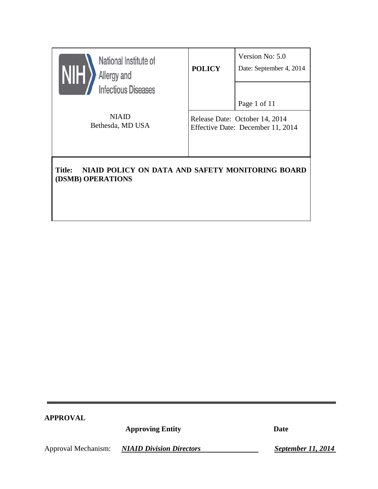| National Institute of<br>Allergy and<br>NIH<br><b>Infectious Diseases</b>              | <b>POLICY</b>                                                                       | Version No: 5.0<br>Date: September 4, 2014 |  |  |
|----------------------------------------------------------------------------------------|-------------------------------------------------------------------------------------|--------------------------------------------|--|--|
| <b>NIAID</b><br>Bethesda, MD USA                                                       | Page 1 of 11<br>Release Date: October 14, 2014<br>Effective Date: December 11, 2014 |                                            |  |  |
| NIAID POLICY ON DATA AND SAFETY MONITORING BOARD<br><b>Title:</b><br>(DSMB) OPERATIONS |                                                                                     |                                            |  |  |

# **APPROVAL**

**Approving Entity Date**

Approval Mechanism: *NIAID Division Directors September 11, 2014*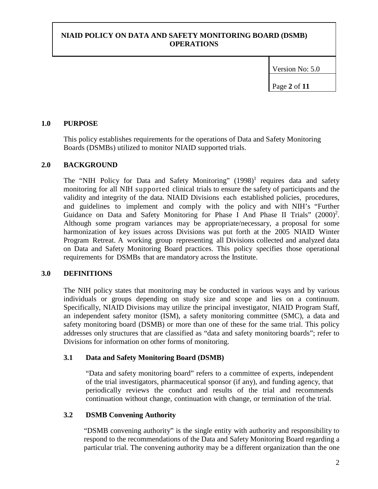Version No: 5.0

Page **2** of **11**

### **1.0 PURPOSE**

This policy establishes requirements for the operations of Data and Safety Monitoring Boards (DSMBs) utilized to monitor NIAID supported trials.

### **2.0 BACKGROUND**

The "NIH Policy for Data and Safety Monitoring"  $(1998)^1$  requires data and safety monitoring for all NIH supported clinical trials to ensure the safety of participants and the validity and integrity of the data. NIAID Divisions each established policies, procedures, and guidelines to implement and comply with the policy and with NIH's "Further Guidance on Data and Safety Monitoring for Phase I And Phase II Trials"  $(2000)^2$ . Although some program variances may be appropriate/necessary, a proposal for some harmonization of key issues across Divisions was put forth at the 2005 NIAID Winter Program Retreat. A working group representing all Divisions collected and analyzed data on Data and Safety Monitoring Board practices. This policy specifies those operational requirements for DSMBs that are mandatory across the Institute.

# **3.0 DEFINITIONS**

The NIH policy states that monitoring may be conducted in various ways and by various individuals or groups depending on study size and scope and lies on a continuum. Specifically, NIAID Divisions may utilize the principal investigator, NIAID Program Staff, an independent safety monitor (ISM), a safety monitoring committee (SMC), a data and safety monitoring board (DSMB) or more than one of these for the same trial. This policy addresses only structures that are classified as "data and safety monitoring boards"; refer to Divisions for information on other forms of monitoring.

### **3.1 Data and Safety Monitoring Board (DSMB)**

"Data and safety monitoring board" refers to a committee of experts, independent of the trial investigators, pharmaceutical sponsor (if any), and funding agency, that periodically reviews the conduct and results of the trial and recommends continuation without change, continuation with change, or termination of the trial.

### **3.2 DSMB Convening Authority**

"DSMB convening authority" is the single entity with authority and responsibility to respond to the recommendations of the Data and Safety Monitoring Board regarding a particular trial. The convening authority may be a different organization than the one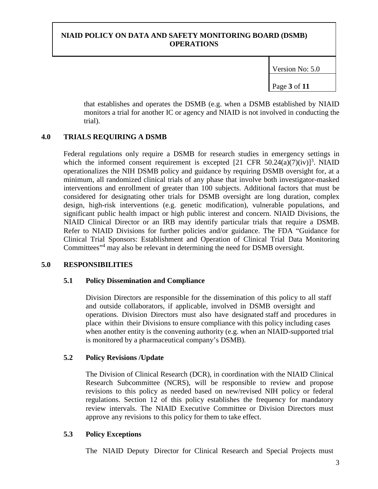Version No: 5.0

Page **3** of **11**

that establishes and operates the DSMB (e.g. when a DSMB established by NIAID monitors a trial for another IC or agency and NIAID is not involved in conducting the trial).

# **4.0 TRIALS REQUIRING A DSMB**

Federal regulations only require a DSMB for research studies in emergency settings in which the informed consent requirement is excepted  $[21 \text{ CFR } 50.24(a)(7)(iv)]^3$ . NIAID operationalizes the NIH DSMB policy and guidance by requiring DSMB oversight for, at a minimum, all randomized clinical trials of any phase that involve both investigator-masked interventions and enrollment of greater than 100 subjects. Additional factors that must be considered for designating other trials for DSMB oversight are long duration, complex design, high-risk interventions (e.g. genetic modification), vulnerable populations, and significant public health impact or high public interest and concern. NIAID Divisions, the NIAID Clinical Director or an IRB may identify particular trials that require a DSMB. Refer to NIAID Divisions for further policies and/or guidance. The FDA "Guidance for Clinical Trial Sponsors: Establishment and Operation of Clinical Trial Data Monitoring Committees"4 may also be relevant in determining the need for DSMB oversight.

# **5.0 RESPONSIBILITIES**

# **5.1 Policy Dissemination and Compliance**

Division Directors are responsible for the dissemination of this policy to all staff and outside collaborators, if applicable, involved in DSMB oversight and operations. Division Directors must also have designated staff and procedures in place within their Divisions to ensure compliance with this policy including cases when another entity is the convening authority (e.g. when an NIAID-supported trial is monitored by a pharmaceutical company's DSMB).

# **5.2 Policy Revisions /Update**

The Division of Clinical Research (DCR), in coordination with the NIAID Clinical Research Subcommittee (NCRS), will be responsible to review and propose revisions to this policy as needed based on new/revised NIH policy or federal regulations. Section 12 of this policy establishes the frequency for mandatory review intervals. The NIAID Executive Committee or Division Directors must approve any revisions to this policy for them to take effect.

# **5.3 Policy Exceptions**

The NIAID Deputy Director for Clinical Research and Special Projects must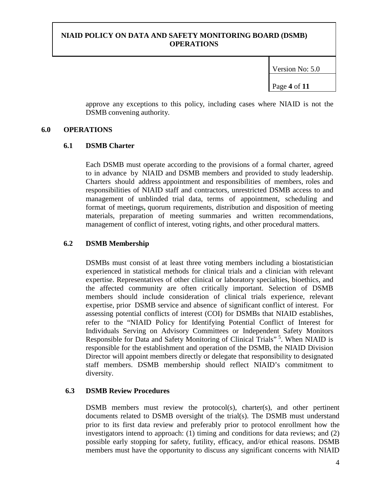Version No: 5.0

Page **4** of **11**

approve any exceptions to this policy, including cases where NIAID is not the DSMB convening authority.

### **6.0 OPERATIONS**

### **6.1 DSMB Charter**

Each DSMB must operate according to the provisions of a formal charter, agreed to in advance by NIAID and DSMB members and provided to study leadership. Charters should address appointment and responsibilities of members, roles and responsibilities of NIAID staff and contractors, unrestricted DSMB access to and management of unblinded trial data, terms of appointment, scheduling and format of meetings**,** quorum requirements, distribution and disposition of meeting materials, preparation of meeting summaries and written recommendations, management of conflict of interest, voting rights, and other procedural matters.

# **6.2 DSMB Membership**

DSMBs must consist of at least three voting members including a biostatistician experienced in statistical methods for clinical trials and a clinician with relevant expertise. Representatives of other clinical or laboratory specialties, bioethics, and the affected community are often critically important. Selection of DSMB members should include consideration of clinical trials experience, relevant expertise, prior DSMB service and absence of significant conflict of interest. For assessing potential conflicts of interest (COI) for DSMBs that NIAID establishes, refer to the "NIAID Policy for Identifying Potential Conflict of Interest for Individuals Serving on Advisory Committees or Independent Safety Monitors Responsible for Data and Safety Monitoring of Clinical Trials"<sup>5</sup>. When NIAID is responsible for the establishment and operation of the DSMB, the NIAID Division Director will appoint members directly or delegate that responsibility to designated staff members. DSMB membership should reflect NIAID's commitment to diversity.

# **6.3 DSMB Review Procedures**

DSMB members must review the protocol(s), charter(s), and other pertinent documents related to DSMB oversight of the trial(s). The DSMB must understand prior to its first data review and preferably prior to protocol enrollment how the investigators intend to approach: (1) timing and conditions for data reviews; and (2) possible early stopping for safety, futility, efficacy, and/or ethical reasons. DSMB members must have the opportunity to discuss any significant concerns with NIAID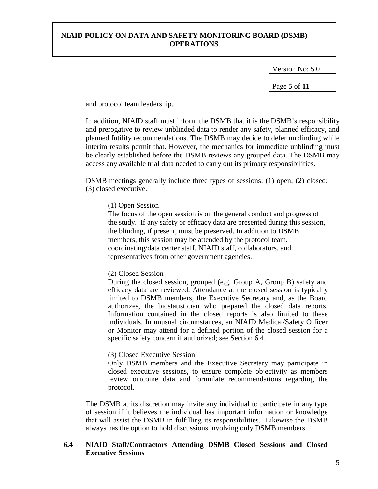Version No: 5.0

Page **5** of **11**

and protocol team leadership.

In addition, NIAID staff must inform the DSMB that it is the DSMB's responsibility and prerogative to review unblinded data to render any safety, planned efficacy, and planned futility recommendations. The DSMB may decide to defer unblinding while interim results permit that. However, the mechanics for immediate unblinding must be clearly established before the DSMB reviews any grouped data. The DSMB may access any available trial data needed to carry out its primary responsibilities.

DSMB meetings generally include three types of sessions: (1) open; (2) closed; (3) closed executive.

### (1) Open Session

The focus of the open session is on the general conduct and progress of the study. If any safety or efficacy data are presented during this session, the blinding, if present, must be preserved. In addition to DSMB members, this session may be attended by the protocol team, coordinating/data center staff, NIAID staff, collaborators, and representatives from other government agencies.

### (2) Closed Session

During the closed session, grouped (e.g. Group A, Group B) safety and efficacy data are reviewed. Attendance at the closed session is typically limited to DSMB members, the Executive Secretary and, as the Board authorizes, the biostatistician who prepared the closed data reports. Information contained in the closed reports is also limited to these individuals. In unusual circumstances, an NIAID Medical/Safety Officer or Monitor may attend for a defined portion of the closed session for a specific safety concern if authorized; see Section 6.4.

#### (3) Closed Executive Session

Only DSMB members and the Executive Secretary may participate in closed executive sessions, to ensure complete objectivity as members review outcome data and formulate recommendations regarding the protocol.

The DSMB at its discretion may invite any individual to participate in any type of session if it believes the individual has important information or knowledge that will assist the DSMB in fulfilling its responsibilities. Likewise the DSMB always has the option to hold discussions involving only DSMB members.

### **6.4 NIAID Staff/Contractors Attending DSMB Closed Sessions and Closed Executive Sessions**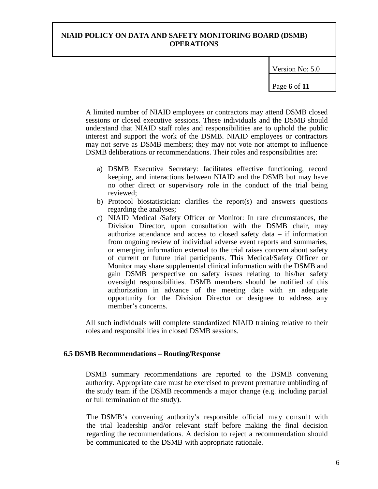Version No: 5.0

Page **6** of **11**

A limited number of NIAID employees or contractors may attend DSMB closed sessions or closed executive sessions. These individuals and the DSMB should understand that NIAID staff roles and responsibilities are to uphold the public interest and support the work of the DSMB. NIAID employees or contractors may not serve as DSMB members; they may not vote nor attempt to influence DSMB deliberations or recommendations. Their roles and responsibilities are:

- a) DSMB Executive Secretary: facilitates effective functioning, record keeping, and interactions between NIAID and the DSMB but may have no other direct or supervisory role in the conduct of the trial being reviewed;
- b) Protocol biostatistician: clarifies the report(s) and answers questions regarding the analyses;
- c) NIAID Medical /Safety Officer or Monitor: In rare circumstances, the Division Director, upon consultation with the DSMB chair, may authorize attendance and access to closed safety data – if information from ongoing review of individual adverse event reports and summaries, or emerging information external to the trial raises concern about safety of current or future trial participants. This Medical/Safety Officer or Monitor may share supplemental clinical information with the DSMB and gain DSMB perspective on safety issues relating to his/her safety oversight responsibilities. DSMB members should be notified of this authorization in advance of the meeting date with an adequate opportunity for the Division Director or designee to address any member's concerns.

All such individuals will complete standardized NIAID training relative to their roles and responsibilities in closed DSMB sessions.

#### **6.5 DSMB Recommendations – Routing/Response**

DSMB summary recommendations are reported to the DSMB convening authority. Appropriate care must be exercised to prevent premature unblinding of the study team if the DSMB recommends a major change (e.g. including partial or full termination of the study).

The DSMB's convening authority's responsible official may consult with the trial leadership and/or relevant staff before making the final decision regarding the recommendations. A decision to reject a recommendation should be communicated to the DSMB with appropriate rationale.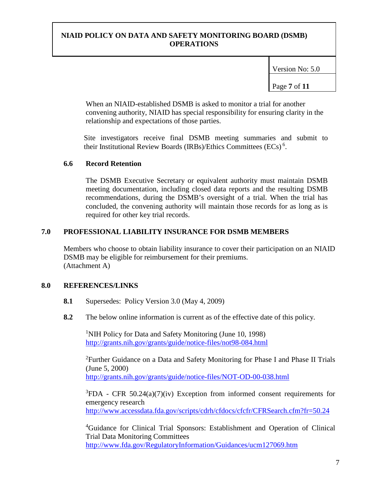Version No: 5.0

Page **7** of **11**

When an NIAID-established DSMB is asked to monitor a trial for another convening authority, NIAID has special responsibility for ensuring clarity in the relationship and expectations of those parties.

Site investigators receive final DSMB meeting summaries and submit to their Institutional Review Boards (IRBs)/Ethics Committees (ECs)<sup>6</sup>.

### **6.6 Record Retention**

The DSMB Executive Secretary or equivalent authority must maintain DSMB meeting documentation, including closed data reports and the resulting DSMB recommendations, during the DSMB's oversight of a trial. When the trial has concluded, the convening authority will maintain those records for as long as is required for other key trial records.

### **7.0 PROFESSIONAL LIABILITY INSURANCE FOR DSMB MEMBERS**

Members who choose to obtain liability insurance to cover their participation on an NIAID DSMB may be eligible for reimbursement for their premiums. (Attachment A)

### **8.0 REFERENCES/LINKS**

- **8.1** Supersedes: Policy Version 3.0 (May 4, 2009)
- **8.2** The below online information is current as of the effective date of this policy.

<sup>1</sup>NIH Policy for Data and Safety Monitoring (June 10, 1998) <http://grants.nih.gov/grants/guide/notice-files/not98-084.html>

<sup>2</sup> Further Guidance on a Data and Safety Monitoring for Phase I and Phase II Trials (June 5, 2000) <http://grants.nih.gov/grants/guide/notice-files/NOT-OD-00-038.html>

 ${}^{3}$ FDA - CFR 50.24(a)(7)(iv) Exception from informed consent requirements for emergency research <http://www.accessdata.fda.gov/scripts/cdrh/cfdocs/cfcfr/CFRSearch.cfm?fr=50.24>

<sup>4</sup>Guidance for Clinical Trial Sponsors: Establishment and Operation of Clinical Trial Data Monitoring Committees <http://www.fda.gov/RegulatoryInformation/Guidances/ucm127069.htm>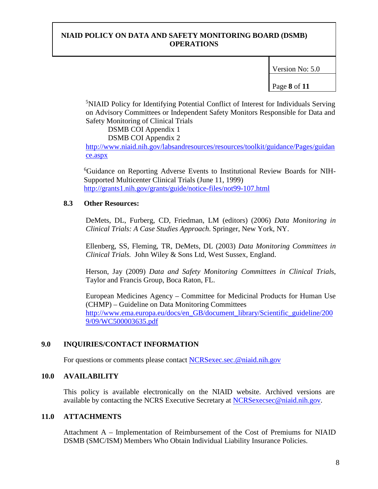Version No: 5.0

Page **8** of **11**

<sup>5</sup>NIAID Policy for Identifying Potential Conflict of Interest for Individuals Serving on Advisory Committees or Independent Safety Monitors Responsible for Data and Safety Monitoring of Clinical Trials

#### DSMB COI Appendix 1 DSMB COI Appendix 2

[http://www.niaid.nih.gov/labsandresources/resources/toolkit/guidance/Pages/guidan](http://www.niaid.nih.gov/labsandresources/resources/toolkit/guidance/Pages/guidance.aspx) [ce.aspx](http://www.niaid.nih.gov/labsandresources/resources/toolkit/guidance/Pages/guidance.aspx)

6 Guidance on Reporting Adverse Events to Institutional Review Boards for NIH-Supported Multicenter Clinical Trials (June 11, 1999) <http://grants1.nih.gov/grants/guide/notice-files/not99-107.html>

### **8.3 Other Resources:**

DeMets, DL, Furberg, CD, Friedman, LM (editors) (2006) *Data Monitoring in Clinical Trials: A Case Studies Approach*. Springer, New York, NY.

Ellenberg, SS, Fleming, TR, DeMets, DL (2003) *Data Monitoring Committees in Clinical Trials.* John Wiley & Sons Ltd, West Sussex, England.

Herson, Jay (2009) *Data and Safety Monitoring Committees in Clinical Trial*s, Taylor and Francis Group, Boca Raton, FL.

European Medicines Agency – Committee for Medicinal Products for Human Use (CHMP) – Guideline on Data Monitoring Committees [http://www.ema.europa.eu/docs/en\\_GB/document\\_library/Scientific\\_guideline/200](http://www.ema.europa.eu/docs/en_GB/document_library/Scientific_guideline/2009/09/WC500003635.pdf) [9/09/WC500003635.pdf](http://www.ema.europa.eu/docs/en_GB/document_library/Scientific_guideline/2009/09/WC500003635.pdf)

# **9.0 INQUIRIES/CONTACT INFORMATION**

For questions or comments please contact [NCRSexec.sec.@niaid.nih.gov](mailto:NCRSexec.sec.@niaid.nih.gov)

# **10.0 AVAILABILITY**

This policy is available electronically on the NIAID website. Archived versions are available by contacting the NCRS Executive Secretary at [NCRSexecsec@niaid.nih.gov.](mailto: NCRSexec.sec.@niaid.nih.gov)

# **11.0 ATTACHMENTS**

Attachment A – Implementation of Reimbursement of the Cost of Premiums for NIAID DSMB (SMC/ISM) Members Who Obtain Individual Liability Insurance Policies.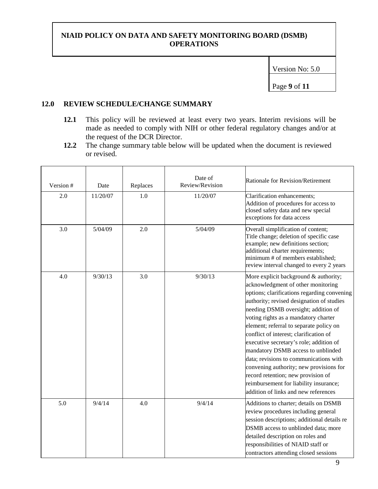Version No: 5.0

Page **9** of **11**

### **12.0 REVIEW SCHEDULE/CHANGE SUMMARY**

- **12.1** This policy will be reviewed at least every two years. Interim revisions will be made as needed to comply with NIH or other federal regulatory changes and/or at the request of the DCR Director.
- **12.2** The change summary table below will be updated when the document is reviewed or revised.

| Version # | Date     | Replaces | Date of<br>Review/Revision | Rationale for Revision/Retirement                                                                                                                                                                                                                                                                                                                                                                                                                                                                                                                                                                                                         |
|-----------|----------|----------|----------------------------|-------------------------------------------------------------------------------------------------------------------------------------------------------------------------------------------------------------------------------------------------------------------------------------------------------------------------------------------------------------------------------------------------------------------------------------------------------------------------------------------------------------------------------------------------------------------------------------------------------------------------------------------|
| 2.0       | 11/20/07 | $1.0\,$  | 11/20/07                   | Clarification enhancements;<br>Addition of procedures for access to<br>closed safety data and new special<br>exceptions for data access                                                                                                                                                                                                                                                                                                                                                                                                                                                                                                   |
| 3.0       | 5/04/09  | 2.0      | 5/04/09                    | Overall simplification of content;<br>Title change; deletion of specific case<br>example; new definitions section;<br>additional charter requirements;<br>minimum # of members established;<br>review interval changed to every 2 years                                                                                                                                                                                                                                                                                                                                                                                                   |
| 4.0       | 9/30/13  | 3.0      | 9/30/13                    | More explicit background & authority;<br>acknowledgment of other monitoring<br>options; clarifications regarding convening<br>authority; revised designation of studies<br>needing DSMB oversight; addition of<br>voting rights as a mandatory charter<br>element; referral to separate policy on<br>conflict of interest; clarification of<br>executive secretary's role; addition of<br>mandatory DSMB access to unblinded<br>data; revisions to communications with<br>convening authority; new provisions for<br>record retention; new provision of<br>reimbursement for liability insurance;<br>addition of links and new references |
| 5.0       | 9/4/14   | 4.0      | 9/4/14                     | Additions to charter; details on DSMB<br>review procedures including general<br>session descriptions; additional details re<br>DSMB access to unblinded data; more<br>detailed description on roles and<br>responsibilities of NIAID staff or<br>contractors attending closed sessions                                                                                                                                                                                                                                                                                                                                                    |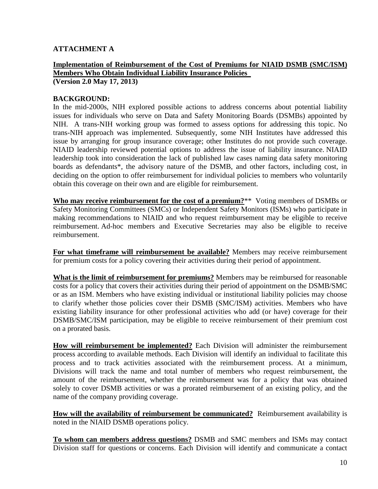# **ATTACHMENT A**

# **Implementation of Reimbursement of the Cost of Premiums for NIAID DSMB (SMC/ISM) Members Who Obtain Individual Liability Insurance Policies**

**(Version 2.0 May 17, 2013)** 

### **BACKGROUND:**

In the mid-2000s, NIH explored possible actions to address concerns about potential liability issues for individuals who serve on Data and Safety Monitoring Boards (DSMBs) appointed by NIH. A trans-NIH working group was formed to assess options for addressing this topic. No trans-NIH approach was implemented. Subsequently, some NIH Institutes have addressed this issue by arranging for group insurance coverage; other Institutes do not provide such coverage. NIAID leadership reviewed potential options to address the issue of liability insurance. NIAID leadership took into consideration the lack of published law cases naming data safety monitoring boards as defendants\*, the advisory nature of the DSMB, and other factors, including cost, in deciding on the option to offer reimbursement for individual policies to members who voluntarily obtain this coverage on their own and are eligible for reimbursement.

**Who may receive reimbursement for the cost of a premium?**\*\* Voting members of DSMBs or Safety Monitoring Committees (SMCs) or Independent Safety Monitors (ISMs) who participate in making recommendations to NIAID and who request reimbursement may be eligible to receive reimbursement. Ad-hoc members and Executive Secretaries may also be eligible to receive reimbursement.

**For what timeframe will reimbursement be available?** Members may receive reimbursement for premium costs for a policy covering their activities during their period of appointment.

**What is the limit of reimbursement for premiums?** Members may be reimbursed for reasonable costs for a policy that covers their activities during their period of appointment on the DSMB/SMC or as an ISM. Members who have existing individual or institutional liability policies may choose to clarify whether those policies cover their DSMB (SMC/ISM) activities. Members who have existing liability insurance for other professional activities who add (or have) coverage for their DSMB/SMC/ISM participation, may be eligible to receive reimbursement of their premium cost on a prorated basis.

**How will reimbursement be implemented?** Each Division will administer the reimbursement process according to available methods. Each Division will identify an individual to facilitate this process and to track activities associated with the reimbursement process. At a minimum, Divisions will track the name and total number of members who request reimbursement, the amount of the reimbursement, whether the reimbursement was for a policy that was obtained solely to cover DSMB activities or was a prorated reimbursement of an existing policy, and the name of the company providing coverage.

**How will the availability of reimbursement be communicated?** Reimbursement availability is noted in the NIAID DSMB operations policy.

**To whom can members address questions?** DSMB and SMC members and ISMs may contact Division staff for questions or concerns. Each Division will identify and communicate a contact